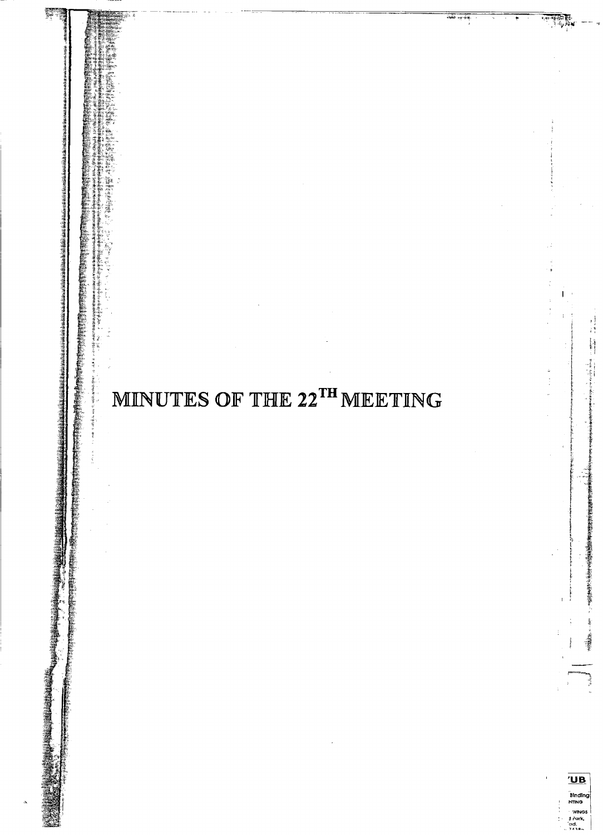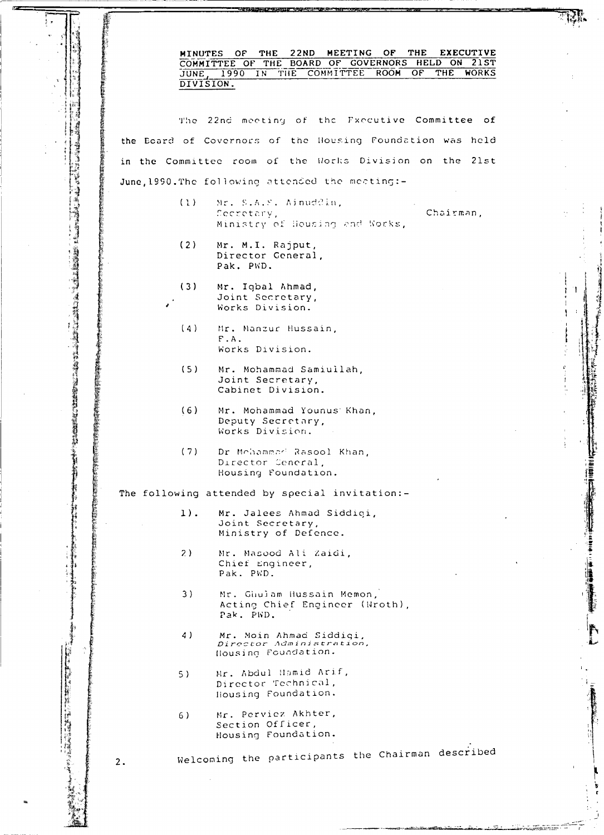MINUTES OF THE 22ND MEETING OF THE EXECUTIVE COMMITTEE OF THE BOARD OF GOVERNORS HELD ON 21ST JUNE, 1990 IN THE CONMITTEE ROOM OF THE **WORKS** The 22nd meeting of the Fxecutive Committee of the Ecard of Covernors of the Housing Foundation was held in the Committee room of the Works Division on the 21st June, 1990. The following attended the meeting:- $(1)$ Mr. S.A.S. Ainuddin, Chairman. Secretary, Ministry of Housing and Norks,  $(2)$ Mr. M.I. Rajput, Director Ceneral. Pak. PWD.  $(3)$ Mr. Igbal Ahmad, Joint Secretary, Works Division.  $(4)$ Mr. Manzur Hussain.  $F.A.$ Works Division.  $(5)$ Mr. Mohammad Samiullah, Joint Secretary, Cabinet Division.  $(6)$ Mr. Mohammad Younus Khan, Deputy Secretary, Works Division.  $(7)$ Dr Mchammad Rasool Khan, Director Ceneral, Housing Foundation. The following attended by special invitation:- $1$ ). Mr. Jalees Ahmad Siddigi, Joint Secretary, Ministry of Defence.  $2)$ Mr. Masood Ali Zaidi, Chief Engineer, Pak. PWD.  $3)$ Mr. Ghulam Hussain Memon, Acting Chief Engineer (Wroth), Pak. PWD. Mr. Moin Ahmad Siddigi,<br>Director Administration, 4) Housing Foundation. Mr. Abdul Hamid Arif,  $5)$ Director Technical, Housing Foundation. Mr. Perviez Akhter,  $6)$ Section Officer, Housing Foundation. Welcoming the participants the Chairman described  $2.$ 

an din din T

「地方の場所は、15%

「私は、その後、その後、その後、「世界の経済の社会」という。<br>「その他の経済のことに、その他の経済のことに、その他のことは、この他のことは、その他のことは、その他の政治の政治を受けても、その他には、その はたい こうしょう しょうしょう コード・コード

【1000年】 2000年,1000年(1000年) 1000年(1000年) 1000年(1000年) 1000年(1000年) 1000年(1000年) 1000年(1000年) 1000年(1000年) 1000年(1000年) 1000年(1000年) 1000年(1000年) 1000年(1000年) 1000年(1000年) 1000年(1000年) 1000年(1000年) 1000年(1000年) 1000年(1000年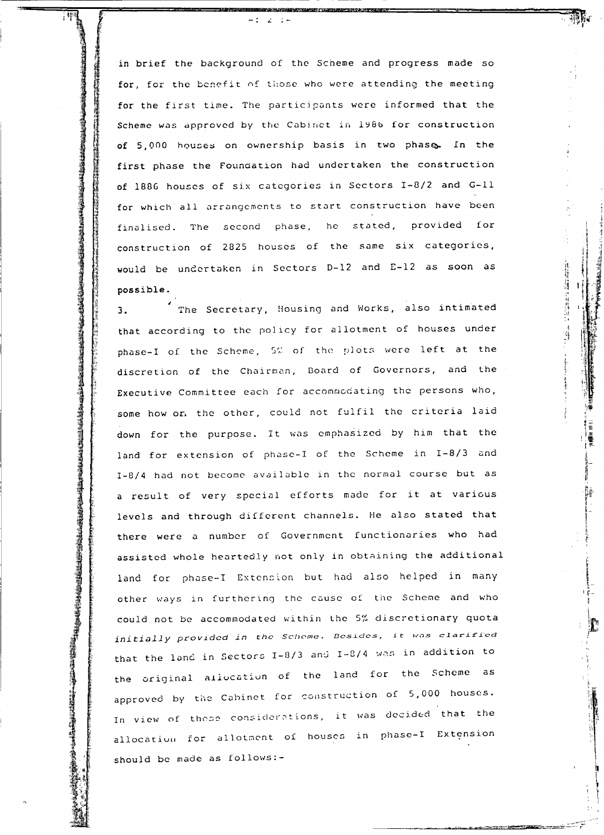in brief the background of the Scheme and progress made so for, for the benefit of those who were attending the meeting for the first time. The participants were informed that the Scheme was approved by the Cabinet in 1986 for construction of 5,000 houses on ownership basis in two phase. In the first phase the Foundation had undertaken the construction of 1886 houses of six categories in Sectors I-8/2 and G-11 for which all arrangements to start construction have been finalised. The second phase, he stated, provided for construction of 2825 houses of the same six categories, would be undertaken in Sectors D-12 and E-12 as soon as possible.

计自动调谐 计非线波仪

۱j

The Secretary, Housing and Works, also intimated  $\overline{3}$ . that according to the policy for allotment of houses under phase-I of the Scheme, 5% of the plots were left at the discretion of the Chairman, Board of Governors, and the Executive Committee each for accommodating the persons who, some how or, the other, could not fulfil the criteria laid down for the purpose. It was emphasized by him that the land for extension of phase-I of the Scheme in I-8/3 and I-8/4 had not become available in the normal course but as a result of very special efforts made for it at various levels and through different channels. He also stated that there were a number of Government functionaries who had assisted whole heartedly not only in obtaining the additional land for phase-I Extension but had also helped in many other ways in furthering the cause of the Scheme and who could not be accommodated within the 5% discretionary quota initially provided in the Scheme. Besides, it was clarified that the land in Sectors I-8/3 and I-8/4 was in addition to the original allocation of the land for the Scheme as approved by the Cabinet for construction of 5,000 houses. In view of these considerations, it was decided that the allocation for allotment of houses in phase-I Extension should be made as follows:-

**医血压定常服剂及主要成素 的第三人** 

**を現代の場所では、その場所の地域の場所の場所がある。現代は、その場所の場所では、その場所の場所である場所の場所では、その場所では、その場所では、その場所では、その場所がある。その場所がある。その場所では、その場所では、その場所では、その場所では、その場所では、その場所では、その場所では、その場所では、その場所では、その場所では、その場所では、その場所では、その場所では、その場所では、その場所では、その場所では、その場所では、その場所では** 

■三十三の第三人は「大平・長いの気持ちの時代」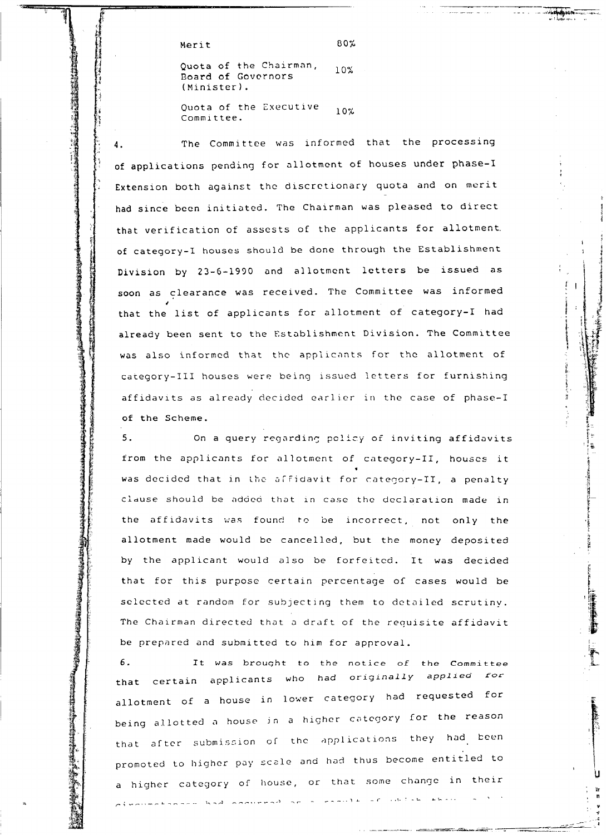Merit

80%

Quota of the Chairman,  $10%$ Board of Governors (Minister).

Quota of the Executive  $10\%$ Committee.

The Committee was informed that the processing  $\overline{4}$ . of applications pending for allotment of houses under phase-I Extension both against the discretionary quota and on merit had since been initiated. The Chairman was pleased to direct that verification of assests of the applicants for allotment. of category-I houses should be done through the Establishment Division by 23-6-1990 and allotment letters be issued as soon as clearance was received. The Committee was informed that the list of applicants for allotment of category-I had already been sent to the Establishment Division. The Committee was also informed that the applicants for the allotment of category-III houses were being issued letters for furnishing affidavits as already decided earlier in the case of phase-I of the Scheme.

 $5.$ On a query regarding policy of inviting affidavits from the applicants for allotment of category-II, houses it was decided that in the affidavit for category-II, a penalty clause should be added that in case the declaration made in the affidavits was found to be incorrect, not only the allotment made would be cancelled, but the money deposited by the applicant would also be forfeited. It was decided that for this purpose certain percentage of cases would be selected at random for subjecting them to detailed scrutiny. The Chairman directed that a draft of the requisite affidavit be prepared and submitted to him for approval.

6. It was brought to the notice of the Committee that certain applicants who had originally applied for allotment of a house in lower category had requested for being allotted a house in a higher category for the reason that after submission of the applications they had been promoted to higher pay scale and had thus become entitled to a higher category of house, or that some change in their divaluation and commence are a particular and deliveration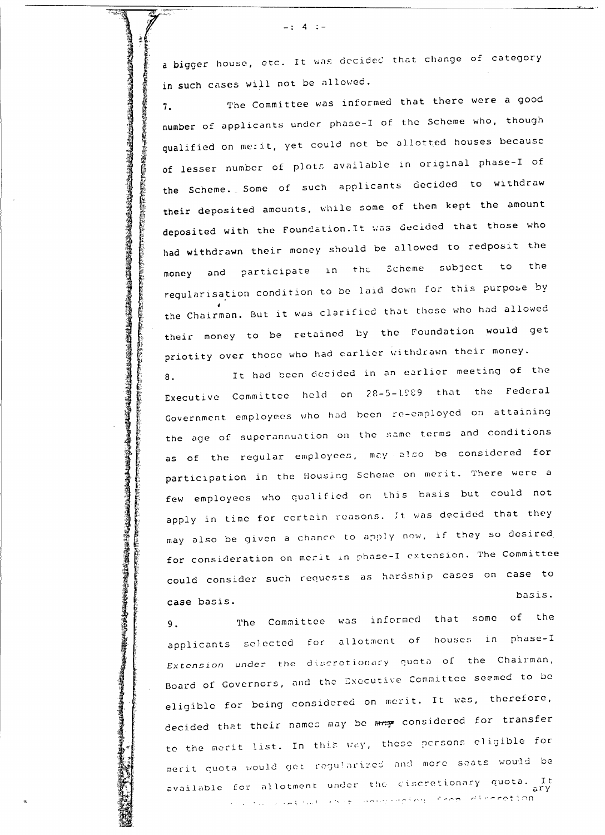a bigger house, etc. It was decided that change of category in such cases will not be allowed.

 $4$   $-$ 

**္ 《時間の対応の対応の状態の状態の状態は、それでは、そのこの状態は、そのための状態は、そのためのための状態があるが、そのためのための状態をある。そのためは、そのための状態は、そのためのためのために、そのための状態がある。このための状態は、そのための状態は、そのようなのでは、そのためは、そのようなので、そのようなので、そのようなので、そのようなので、そのようなので、そのことは、そのようなので、そのこのためで、そのようなので、そのこのた** 

ASSAMATECTOSAARATECTORATECTORATECTORATECTORATECTORATECTORATECTORATECTORATECTORATECTORATECTORATECTOR

The Committee was informed that there were a good  $7.$ number of applicants under phase-I of the Scheme who, though qualified on merit, yet could not be allotted houses because of lesser number of plots available in original phase-I of the Scheme. Some of such applicants decided to withdraw their deposited amounts, while some of them kept the amount deposited with the Foundation. It was decided that those who had withdrawn their money should be allowed to redposit the money and participate in the Scheme subject to the regularisation condition to be laid down for this purpose by the Chairman. But it was clarified that those who had allowed their money to be retained by the Foundation would get priotity over those who had carlier withdrawn their money.

It had been decided in an earlier meeting of the 8. Executive Committee held on 28-5-1989 that the Federal Government employees who had been re-employed on attaining the age of superannuation on the same terms and conditions as of the regular employees, may also be considered for participation in the Housing Scheme on merit. There were a few employees who qualified on this basis but could not apply in time for certain reasons. It was decided that they may also be given a chance to apply now, if they so desired for consideration on merit in phase-I extension. The Committee could consider such requests as hardship cases on case to basis. case basis.

The Committee was informed that some of the  $9.$ applicants selected for allotment of houses in phase-I Extension under the discretionary quota of the Chairman, Board of Governors, and the Executive Committee seemed to be eligible for being considered on merit. It was, therefore, decided that their names may be may considered for transfer to the merit list. In this way, these persons eligible for merit quota would get regularized and more seats would be available for allotment under the discretionary quota. It .<br>And Successful Best Changerstan, Crop discretion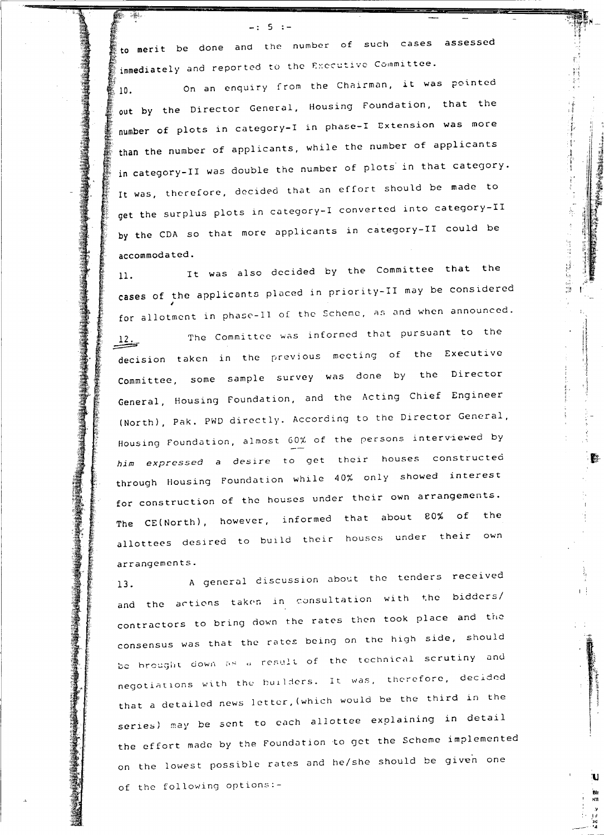to merit be done and the number of such cases assessed immediately and reported to the Executive Committee.

 $-: 5 : -$ 

On an enquiry from the Chairman, it was pointed  $10.$ out by the Director General, Housing Foundation, that the number of plots in category-I in phase-I Extension was more than the number of applicants, while the number of applicants in category-II was double the number of plots in that category. It was, therefore, decided that an effort should be made to get the surplus plots in category-I converted into category-II by the CDA so that more applicants in category-II could be accommodated.

Ą.

1980年10月,1980年前,1980年10月18日,1月18日,1月18日,1月18日,1月18日,1月18日,1月18日,1月18日,1月18日,1月18日,1月18日,1月18日,1月18日,

ţ.

τ÷

It was also decided by the Committee that the  $11.$ cases of the applicants placed in priority-II may be considered for allotment in phase-II of the Scheme, as and when announced.

The Committee was informed that pursuant to the  $12.$ decision taken in the previous meeting of the Executive Committee, some sample survey was done by the Director General, Housing Foundation, and the Acting Chief Engineer (North), Pak. PWD directly. According to the Director General, Housing Foundation, almost 60% of the persons interviewed by him expressed a desire to get their houses constructed through Housing Foundation while 40% only showed interest for construction of the houses under their own arrangements. The CE(North), however, informed that about 80% of the allottees desired to build their houses under their own arrangements.

A general discussion about the tenders received  $13.$ and the actions taken in consultation with the bidders/ contractors to bring down the rates then took place and the consensus was that the rates being on the high side, should be brought down as a result of the technical scrutiny and negotiations with the builders. It was, therefore, decided that a detailed news letter, (which would be the third in the series) may be sent to each allottee explaining in detail the effort made by the Foundation to get the Scheme implemented on the lowest possible rates and he/she should be given one of the following options:-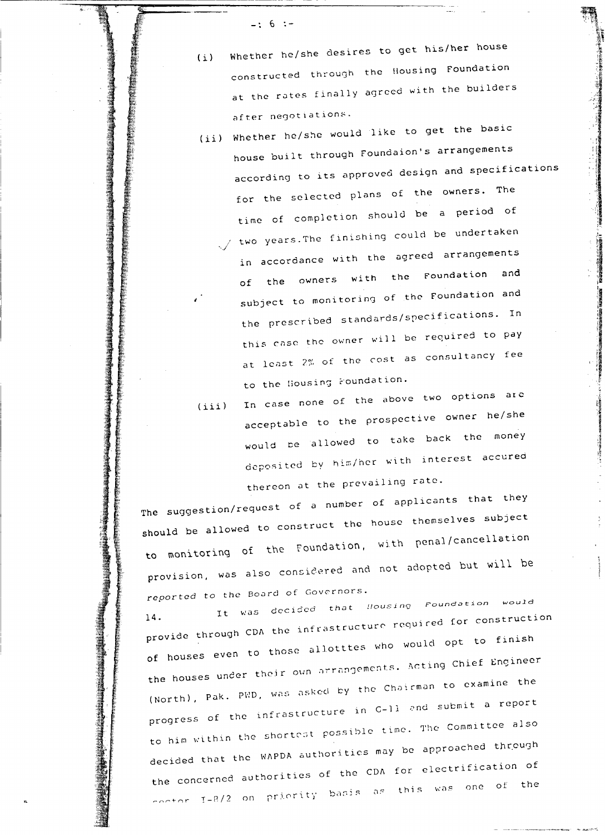$-$ : 6 :-

- Whether he/she desires to get his/her house  $(i)$ constructed through the Housing Foundation at the rates finally agreed with the builders after negotiations.
- (ii) Whether he/she would like to get the basic house built through Foundaion's arrangements according to its approved design and specifications for the selected plans of the owners. The time of completion should be a period of  $\swarrow$  two years. The finishing could be undertaken in accordance with the agreed arrangements of the owners with the Foundation and subject to monitoring of the Foundation and the prescribed standards/specifications. In this case the owner will be required to pay at least 2% of the cost as consultancy fee to the Housing Foundation.
- In case none of the above two options are  $(iii)$ acceptable to the prospective owner he/she would be allowed to take back the money deposited by him/her with interest accured thereon at the prevailing rate.

The suggestion/request of a number of applicants that they should be allowed to construct the house themselves subject to monitoring of the Foundation, with penal/cancellation provision, was also considered and not adopted but will be reported to the Board of Governors.

It was decided that Housing Foundation would provide through CDA the infrastructure required for construction of houses even to those allotttes who would opt to finish the houses under their own arrangements. Acting Chief Engineer (North), Pak. PED, was asked by the Chairman to examine the progress of the infrastructure in C-ll and submit a report to him within the shortest possible time. The Committee also decided that the WAPDA authorities may be approached through the concerned authorities of the CDA for electrification of contor I-8/2 on priority basis as this was one of the